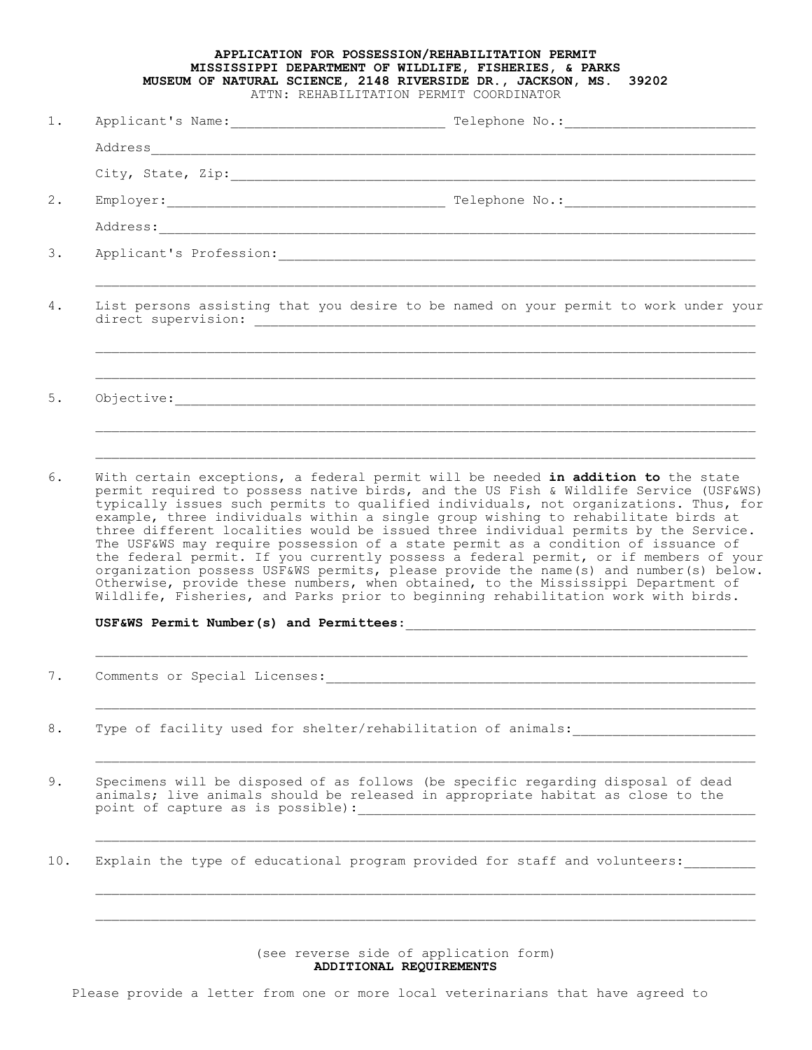## **APPLICATION FOR POSSESSION/REHABILITATION PERMIT MISSISSIPPI DEPARTMENT OF WILDLIFE, FISHERIES, & PARKS MUSEUM OF NATURAL SCIENCE, 2148 RIVERSIDE DR., JACKSON, MS. 39202** ATTN: REHABILITATION PERMIT COORDINATOR

| $1$ . |                                                                                                                                                                                                                                                                                                                                                                                                                                                  |  |
|-------|--------------------------------------------------------------------------------------------------------------------------------------------------------------------------------------------------------------------------------------------------------------------------------------------------------------------------------------------------------------------------------------------------------------------------------------------------|--|
|       |                                                                                                                                                                                                                                                                                                                                                                                                                                                  |  |
|       |                                                                                                                                                                                                                                                                                                                                                                                                                                                  |  |
| 2.    |                                                                                                                                                                                                                                                                                                                                                                                                                                                  |  |
|       |                                                                                                                                                                                                                                                                                                                                                                                                                                                  |  |
| 3.    |                                                                                                                                                                                                                                                                                                                                                                                                                                                  |  |
| 4.    | List persons assisting that you desire to be named on your permit to work under your                                                                                                                                                                                                                                                                                                                                                             |  |
| 5.    | $\texttt{Objective:}\footnotesize\begin{minipage}{14.5\textwidth} \centering \begin{tabular}{ l l l } \hline \textbf{0} & \textbf{0} & \textbf{0} & \textbf{0} & \textbf{0} & \textbf{0} & \textbf{0} & \textbf{0} & \textbf{0} & \textbf{0} & \textbf{0} & \textbf{0} & \textbf{0} & \textbf{0} & \textbf{0} & \textbf{0} & \textbf{0} & \textbf{0} & \textbf{0} & \textbf{0} & \textbf{0} & \textbf{0} & \textbf{0} & \textbf{0} & \textbf{0}$ |  |
| 6.    | With certain exceptions, a federal permit will be needed in addition to the state<br>permit required to possess native birds, and the US Fish & Wildlife Service (USF&WS)<br>typically issues such permits to qualified individuals, not organizations. Thus, for<br>example, three individuals within a single group wishing to rehabilitate birds at                                                                                           |  |

three different localities would be issued three individual permits by the Service. The USF&WS may require possession of a state permit as a condition of issuance of the federal permit. If you currently possess a federal permit, or if members of your organization possess USF&WS permits, please provide the name(s) and number(s) below. Otherwise, provide these numbers, when obtained, to the Mississippi Department of Wildlife, Fisheries, and Parks prior to beginning rehabilitation work with birds.

USF&WS Permit Number(s) and Permittees:

7. Comments or Special Licenses:\_\_\_\_\_\_\_\_\_\_\_\_\_\_\_\_\_\_\_\_\_\_\_\_\_\_\_\_\_\_\_\_\_\_\_\_\_\_\_\_\_\_\_\_\_\_\_\_\_\_\_\_\_\_

- 8. Type of facility used for shelter/rehabilitation of animals:
- 9. Specimens will be disposed of as follows (be specific regarding disposal of dead animals; live animals should be released in appropriate habitat as close to the point of capture as is possible):

10. Explain the type of educational program provided for staff and volunteers:

(see reverse side of application form) **ADDITIONAL REQUIREMENTS**

Please provide a letter from one or more local veterinarians that have agreed to